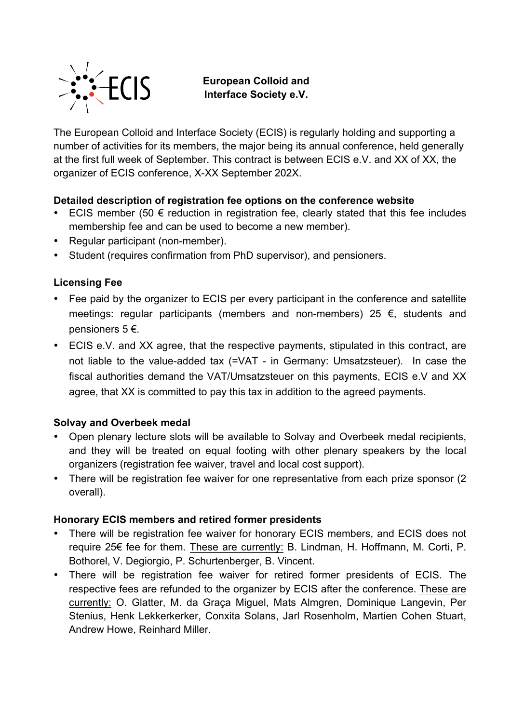

**European Colloid and Interface Society e.V.**

The European Colloid and Interface Society (ECIS) is regularly holding and supporting a number of activities for its members, the major being its annual conference, held generally at the first full week of September. This contract is between ECIS e.V. and XX of XX, the organizer of ECIS conference, X-XX September 202X.

# **Detailed description of registration fee options on the conference website**

- ECIS member (50  $\epsilon$  reduction in registration fee, clearly stated that this fee includes membership fee and can be used to become a new member).
- Regular participant (non-member).
- Student (requires confirmation from PhD supervisor), and pensioners.

# **Licensing Fee**

- Fee paid by the organizer to ECIS per every participant in the conference and satellite meetings: regular participants (members and non-members) 25 €, students and pensioners 5 €.
- ECIS e.V. and XX agree, that the respective payments, stipulated in this contract, are not liable to the value-added tax (=VAT - in Germany: Umsatzsteuer). In case the fiscal authorities demand the VAT/Umsatzsteuer on this payments, ECIS e.V and XX agree, that XX is committed to pay this tax in addition to the agreed payments.

### **Solvay and Overbeek medal**

- Open plenary lecture slots will be available to Solvay and Overbeek medal recipients, and they will be treated on equal footing with other plenary speakers by the local organizers (registration fee waiver, travel and local cost support).
- There will be registration fee waiver for one representative from each prize sponsor (2 overall).

### **Honorary ECIS members and retired former presidents**

- There will be registration fee waiver for honorary ECIS members, and ECIS does not require 25€ fee for them. These are currently: B. Lindman, H. Hoffmann, M. Corti, P. Bothorel, V. Degiorgio, P. Schurtenberger, B. Vincent.
- There will be registration fee waiver for retired former presidents of ECIS. The respective fees are refunded to the organizer by ECIS after the conference. These are currently: O. Glatter, M. da Graça Miguel, Mats Almgren, Dominique Langevin, Per Stenius, Henk Lekkerkerker, Conxita Solans, Jarl Rosenholm, Martien Cohen Stuart, Andrew Howe, Reinhard Miller.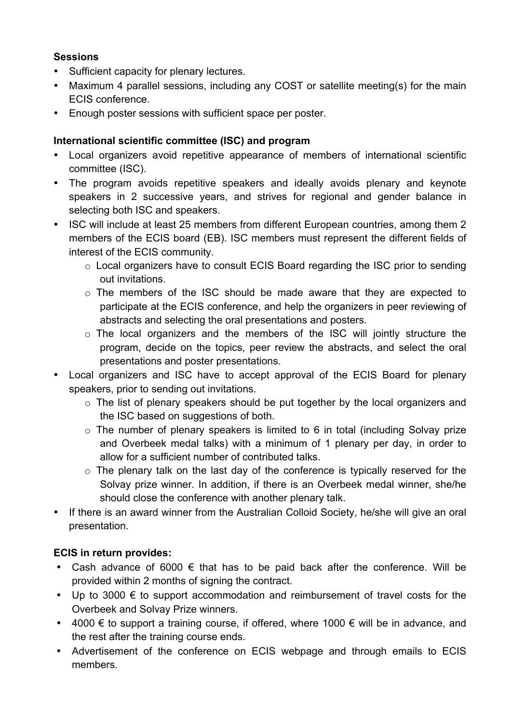# **Sessions**

- Sufficient capacity for plenary lectures.
- Maximum 4 parallel sessions, including any COST or satellite meeting(s) for the main ECIS conference.
- Enough poster sessions with sufficient space per poster.

# **International scientific committee (ISC) and program**

- Local organizers avoid repetitive appearance of members of international scientific committee (ISC).
- The program avoids repetitive speakers and ideally avoids plenary and keynote speakers in 2 successive years, and strives for regional and gender balance in selecting both ISC and speakers.
- ISC will include at least 25 members from different European countries, among them 2 members of the ECIS board (EB). ISC members must represent the different fields of interest of the ECIS community.
	- o Local organizers have to consult ECIS Board regarding the ISC prior to sending out invitations.
	- o The members of the ISC should be made aware that they are expected to participate at the ECIS conference, and help the organizers in peer reviewing of abstracts and selecting the oral presentations and posters.
	- o The local organizers and the members of the ISC will jointly structure the program, decide on the topics, peer review the abstracts, and select the oral presentations and poster presentations.
- Local organizers and ISC have to accept approval of the ECIS Board for plenary speakers, prior to sending out invitations.
	- o The list of plenary speakers should be put together by the local organizers and the ISC based on suggestions of both.
	- $\circ$  The number of plenary speakers is limited to 6 in total (including Solvay prize and Overbeek medal talks) with a minimum of 1 plenary per day, in order to allow for a sufficient number of contributed talks.
	- o The plenary talk on the last day of the conference is typically reserved for the Solvay prize winner. In addition, if there is an Overbeek medal winner, she/he should close the conference with another plenary talk.
- If there is an award winner from the Australian Colloid Society, he/she will give an oral presentation.

# **ECIS in return provides:**

- Cash advance of 6000  $\epsilon$  that has to be paid back after the conference. Will be provided within 2 months of signing the contract.
- Up to 3000  $\epsilon$  to support accommodation and reimbursement of travel costs for the Overbeek and Solvay Prize winners.
- 4000  $\epsilon$  to support a training course, if offered, where 1000  $\epsilon$  will be in advance, and the rest after the training course ends.
- Advertisement of the conference on ECIS webpage and through emails to ECIS members.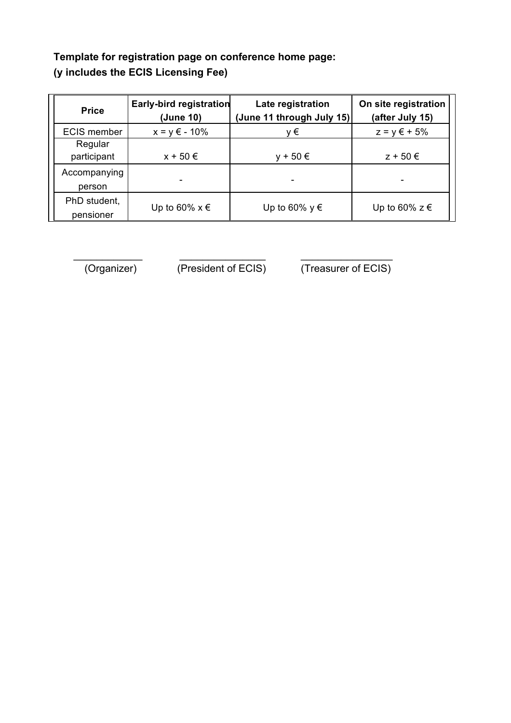# **Template for registration page on conference home page: (y includes the ECIS Licensing Fee)**

| <b>Price</b>              | <b>Early-bird registration</b><br>(June 10) | Late registration<br>(June 11 through July 15) | On site registration<br>(after July 15) |
|---------------------------|---------------------------------------------|------------------------------------------------|-----------------------------------------|
| <b>ECIS member</b>        | $x = y \in -10\%$                           | ν€                                             | $z = y \in +5\%$                        |
| Regular<br>participant    | $x + 50 \in$                                | $+50 \in$                                      | $z + 50 \in$                            |
| Accompanying<br>person    |                                             |                                                |                                         |
| PhD student,<br>pensioner | Up to 60% $x \in$                           | Up to 60% $y \in$                              | Up to 60% $z \in$                       |

 $\frac{1}{2}$  ,  $\frac{1}{2}$  ,  $\frac{1}{2}$  ,  $\frac{1}{2}$  ,  $\frac{1}{2}$  ,  $\frac{1}{2}$  ,  $\frac{1}{2}$  ,  $\frac{1}{2}$  ,  $\frac{1}{2}$  ,  $\frac{1}{2}$  ,  $\frac{1}{2}$  ,  $\frac{1}{2}$  ,  $\frac{1}{2}$  ,  $\frac{1}{2}$  ,  $\frac{1}{2}$  ,  $\frac{1}{2}$  ,  $\frac{1}{2}$  ,  $\frac{1}{2}$  ,  $\frac{1$ 

(Organizer) (President of ECIS) (Treasurer of ECIS)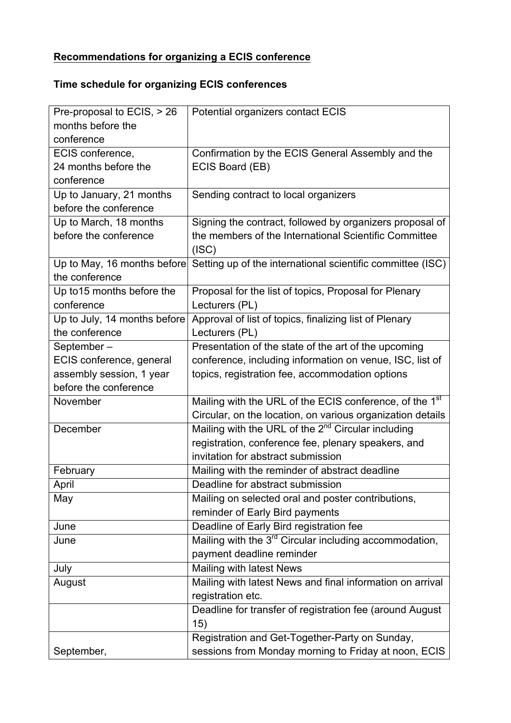# **Recommendations for organizing a ECIS conference**

# **Time schedule for organizing ECIS conferences**

| Pre-proposal to ECIS, > 26   | Potential organizers contact ECIS                                   |
|------------------------------|---------------------------------------------------------------------|
| months before the            |                                                                     |
| conference                   |                                                                     |
| ECIS conference,             | Confirmation by the ECIS General Assembly and the                   |
| 24 months before the         | ECIS Board (EB)                                                     |
| conference                   |                                                                     |
| Up to January, 21 months     | Sending contract to local organizers                                |
| before the conference        |                                                                     |
| Up to March, 18 months       | Signing the contract, followed by organizers proposal of            |
| before the conference        | the members of the International Scientific Committee               |
|                              | (ISC)                                                               |
| Up to May, 16 months before  | Setting up of the international scientific committee (ISC)          |
| the conference               |                                                                     |
| Up to 15 months before the   | Proposal for the list of topics, Proposal for Plenary               |
| conference                   | Lecturers (PL)                                                      |
| Up to July, 14 months before | Approval of list of topics, finalizing list of Plenary              |
| the conference               | Lecturers (PL)                                                      |
| September-                   | Presentation of the state of the art of the upcoming                |
| ECIS conference, general     | conference, including information on venue, ISC, list of            |
| assembly session, 1 year     | topics, registration fee, accommodation options                     |
| before the conference        |                                                                     |
| November                     | Mailing with the URL of the ECIS conference, of the 1 <sup>st</sup> |
|                              | Circular, on the location, on various organization details          |
| December                     | Mailing with the URL of the 2 <sup>nd</sup> Circular including      |
|                              | registration, conference fee, plenary speakers, and                 |
|                              | invitation for abstract submission                                  |
| February                     | Mailing with the reminder of abstract deadline                      |
| April                        | Deadline for abstract submission                                    |
| May                          | Mailing on selected oral and poster contributions,                  |
|                              | reminder of Early Bird payments                                     |
| June                         | Deadline of Early Bird registration fee                             |
| June                         | Mailing with the 3 <sup>rd</sup> Circular including accommodation,  |
|                              | payment deadline reminder                                           |
| July                         | Mailing with latest News                                            |
| August                       | Mailing with latest News and final information on arrival           |
|                              | registration etc.                                                   |
|                              | Deadline for transfer of registration fee (around August            |
|                              | 15)                                                                 |
|                              | Registration and Get-Together-Party on Sunday,                      |
| September,                   | sessions from Monday morning to Friday at noon, ECIS                |